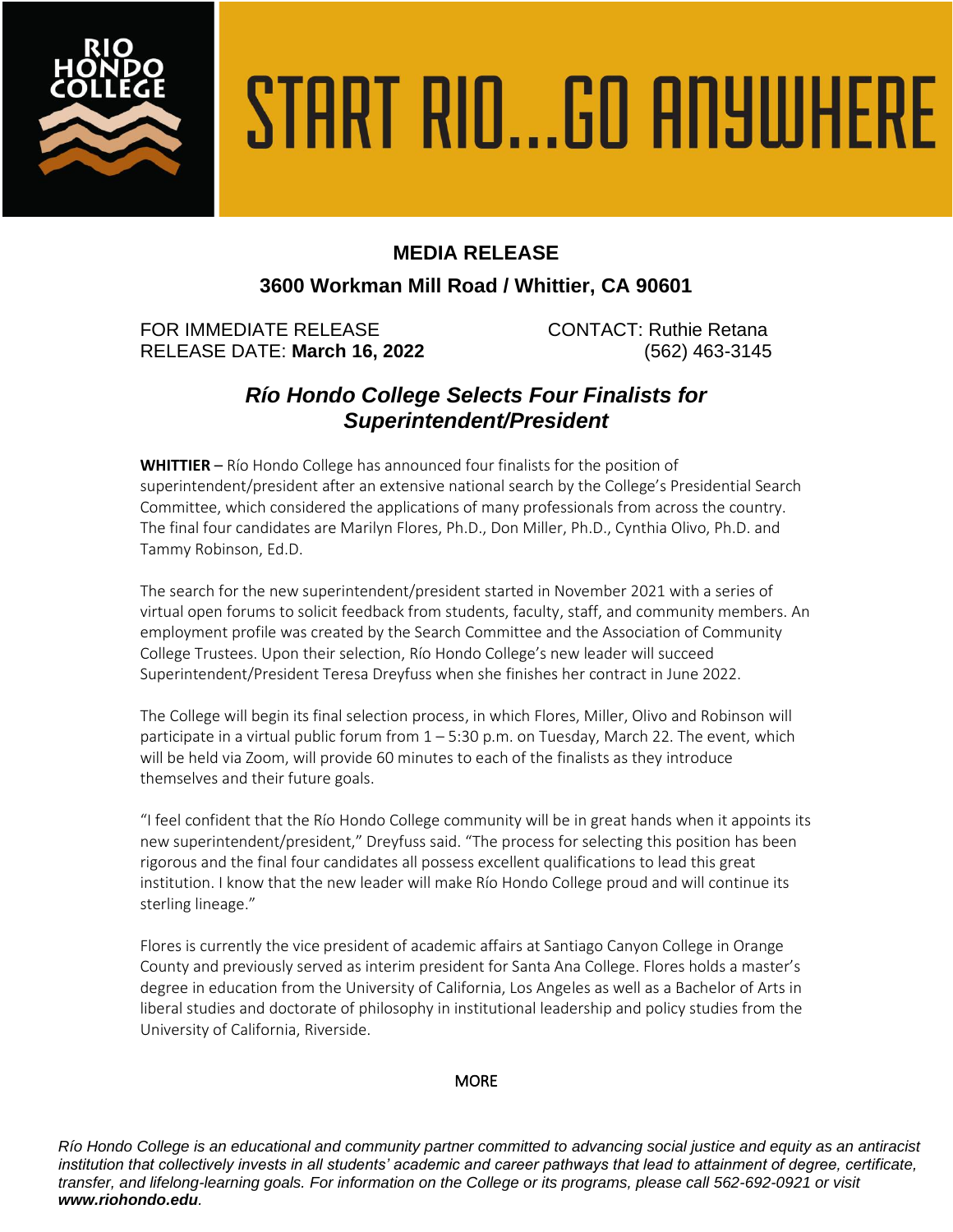

# START RIO...GO ANYWHERE

## **MEDIA RELEASE**

## **3600 Workman Mill Road / Whittier, CA 90601**

FOR IMMEDIATE RELEASE CONTACT: Ruthie Retana RELEASE DATE: **March 16, 2022** (562) 463-3145

# *Río Hondo College Selects Four Finalists for Superintendent/President*

**WHITTIER** – Río Hondo College has announced four finalists for the position of superintendent/president after an extensive national search by the College's Presidential Search Committee, which considered the applications of many professionals from across the country. The final four candidates are Marilyn Flores, Ph.D., Don Miller, Ph.D., Cynthia Olivo, Ph.D. and Tammy Robinson, Ed.D.

The search for the new superintendent/president started in November 2021 with a series of virtual open forums to solicit feedback from students, faculty, staff, and community members. An employment profile was created by the Search Committee and the Association of Community College Trustees. Upon their selection, Río Hondo College's new leader will succeed Superintendent/President Teresa Dreyfuss when she finishes her contract in June 2022.

The College will begin its final selection process, in which Flores, Miller, Olivo and Robinson will participate in a virtual public forum from 1 – 5:30 p.m. on Tuesday, March 22. The event, which will be held via Zoom, will provide 60 minutes to each of the finalists as they introduce themselves and their future goals.

"I feel confident that the Río Hondo College community will be in great hands when it appoints its new superintendent/president," Dreyfuss said. "The process for selecting this position has been rigorous and the final four candidates all possess excellent qualifications to lead this great institution. I know that the new leader will make Río Hondo College proud and will continue its sterling lineage."

Flores is currently the vice president of academic affairs at Santiago Canyon College in Orange County and previously served as interim president for Santa Ana College. Flores holds a master's degree in education from the University of California, Los Angeles as well as a Bachelor of Arts in liberal studies and doctorate of philosophy in institutional leadership and policy studies from the University of California, Riverside.

### **MORE**

*Río Hondo College is an educational and community partner committed to advancing social justice and equity as an antiracist institution that collectively invests in all students' academic and career pathways that lead to attainment of degree, certificate, transfer, and lifelong-learning goals. For information on the College or its programs, please call 562-692-0921 or visit www.riohondo.edu.*